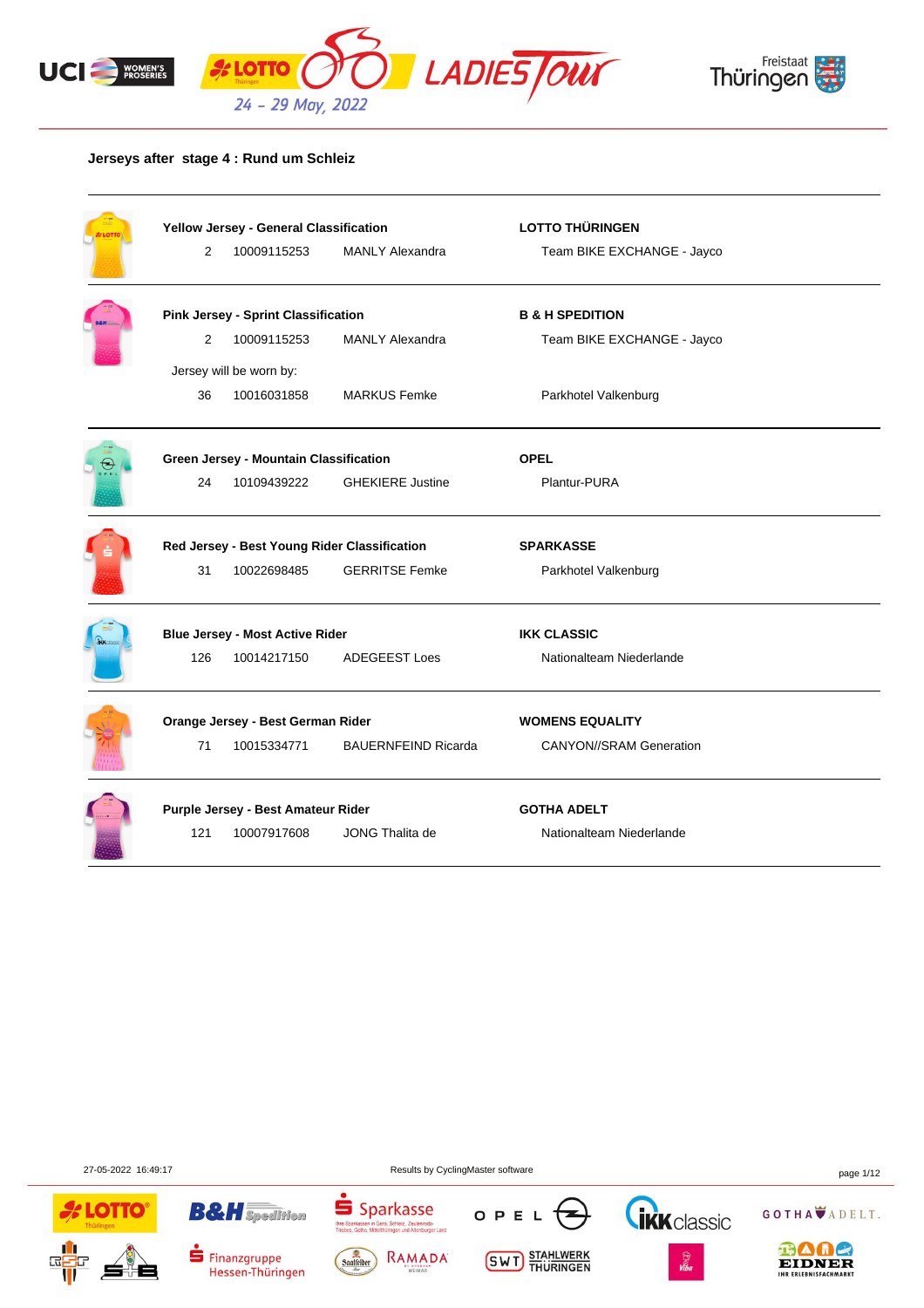



#### **Jerseys after stage 4 : Rund um Schleiz**

|                                              | Yellow Jersey - General Classification     |                            | <b>LOTTO THÜRINGEN</b>         |  |  |
|----------------------------------------------|--------------------------------------------|----------------------------|--------------------------------|--|--|
| $\overline{2}$                               | 10009115253                                | <b>MANLY Alexandra</b>     | Team BIKE EXCHANGE - Jayco     |  |  |
|                                              | <b>Pink Jersey - Sprint Classification</b> |                            | <b>B &amp; H SPEDITION</b>     |  |  |
| 2                                            | 10009115253                                | <b>MANLY Alexandra</b>     | Team BIKE EXCHANGE - Jayco     |  |  |
|                                              | Jersey will be worn by:                    |                            |                                |  |  |
| 36                                           | 10016031858                                | <b>MARKUS Femke</b>        | Parkhotel Valkenburg           |  |  |
|                                              | Green Jersey - Mountain Classification     |                            | <b>OPEL</b>                    |  |  |
| 24                                           | 10109439222                                | <b>GHEKIERE Justine</b>    | Plantur-PURA                   |  |  |
| Red Jersey - Best Young Rider Classification |                                            |                            | <b>SPARKASSE</b>               |  |  |
| 31                                           | 10022698485                                | <b>GERRITSE Femke</b>      | Parkhotel Valkenburg           |  |  |
|                                              | <b>Blue Jersey - Most Active Rider</b>     |                            | <b>IKK CLASSIC</b>             |  |  |
| 126                                          | 10014217150                                | <b>ADEGEEST Loes</b>       | Nationalteam Niederlande       |  |  |
|                                              | Orange Jersey - Best German Rider          |                            | <b>WOMENS EQUALITY</b>         |  |  |
| 71                                           | 10015334771                                | <b>BAUERNFEIND Ricarda</b> | <b>CANYON//SRAM Generation</b> |  |  |
|                                              | Purple Jersey - Best Amateur Rider         |                            | <b>GOTHA ADELT</b>             |  |  |
| 121                                          | 10007917608                                | JONG Thalita de            | Nationalteam Niederlande       |  |  |

27-05-2022 16:49:17 Results by CyclingMaster software page 1/12





**B&H** Spedition



**Thre Spa**<br>Triphae

Sparkasse

Gera, Schleiz, Zeulenroda-<br>Itelthüringen und Altenburger Land







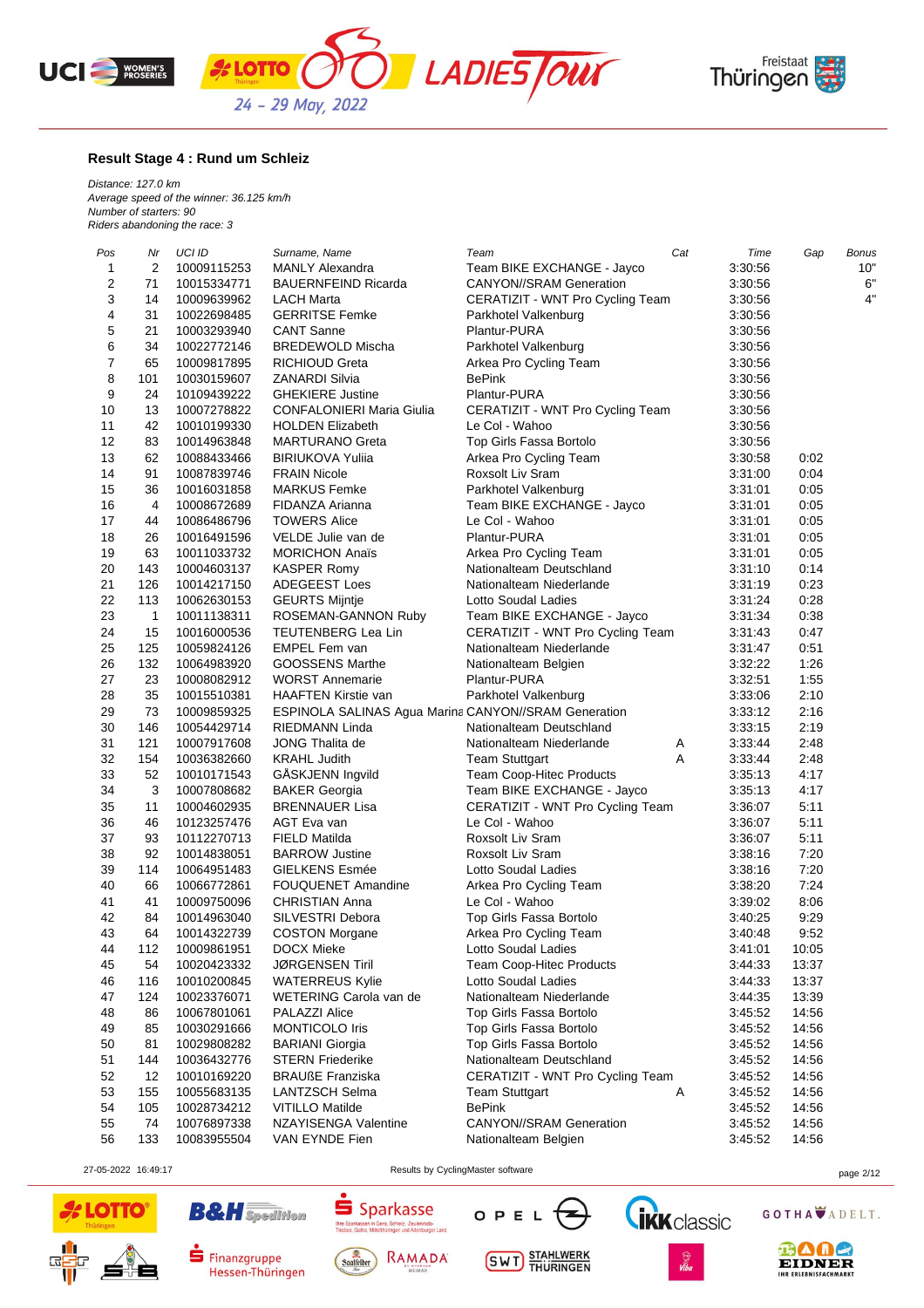





#### **Result Stage 4 : Rund um Schleiz**

*Distance: 127.0 km Average speed of the winner: 36.125 km/h Number of starters: 90 Riders abandoning the race: 3*

| Pos      | Nr           | UCI ID                     | Surname, Name                                        | Team                             | Cat | Time               | Gap   | <b>Bonus</b> |
|----------|--------------|----------------------------|------------------------------------------------------|----------------------------------|-----|--------------------|-------|--------------|
| 1        | 2            | 10009115253                | <b>MANLY Alexandra</b>                               | Team BIKE EXCHANGE - Jayco       |     | 3:30:56            |       | 10"          |
| 2        | 71           | 10015334771                | <b>BAUERNFEIND Ricarda</b>                           | <b>CANYON//SRAM Generation</b>   |     | 3:30:56            |       | 6"           |
| 3        | 14           | 10009639962                | LACH Marta                                           | CERATIZIT - WNT Pro Cycling Team |     | 3:30:56            |       | 4"           |
| 4        | 31           | 10022698485                | <b>GERRITSE Femke</b>                                | Parkhotel Valkenburg             |     | 3:30:56            |       |              |
| 5        | 21           | 10003293940                | <b>CANT Sanne</b>                                    | Plantur-PURA                     |     | 3:30:56            |       |              |
| 6        | 34           | 10022772146                | <b>BREDEWOLD Mischa</b>                              | Parkhotel Valkenburg             |     | 3:30:56            |       |              |
| 7        | 65           | 10009817895                | <b>RICHIOUD Greta</b>                                | Arkea Pro Cycling Team           |     | 3:30:56            |       |              |
| 8        | 101          | 10030159607                | ZANARDI Silvia                                       | <b>BePink</b>                    |     | 3:30:56            |       |              |
| 9        | 24           | 10109439222                | <b>GHEKIERE Justine</b>                              | Plantur-PURA                     |     | 3:30:56            |       |              |
| 10       | 13           | 10007278822                | <b>CONFALONIERI Maria Giulia</b>                     | CERATIZIT - WNT Pro Cycling Team |     | 3:30:56            |       |              |
| 11       | 42           | 10010199330                | <b>HOLDEN Elizabeth</b>                              | Le Col - Wahoo                   |     | 3:30:56            |       |              |
| 12       | 83           | 10014963848                | <b>MARTURANO Greta</b>                               | Top Girls Fassa Bortolo          |     | 3:30:56            |       |              |
| 13       | 62           | 10088433466                | <b>BIRIUKOVA Yulija</b>                              | Arkea Pro Cycling Team           |     | 3:30:58            | 0:02  |              |
| 14       | 91           | 10087839746                | <b>FRAIN Nicole</b>                                  | Roxsolt Liv Sram                 |     | 3:31:00            | 0:04  |              |
| 15       | 36           | 10016031858                | <b>MARKUS Femke</b>                                  | Parkhotel Valkenburg             |     | 3:31:01            | 0:05  |              |
| 16       | 4            | 10008672689                | FIDANZA Arianna                                      | Team BIKE EXCHANGE - Jayco       |     | 3:31:01            | 0:05  |              |
| 17       | 44           | 10086486796                | <b>TOWERS Alice</b>                                  | Le Col - Wahoo                   |     | 3:31:01            | 0:05  |              |
| 18       | 26           | 10016491596                | VELDE Julie van de                                   | Plantur-PURA                     |     | 3:31:01            | 0:05  |              |
| 19       | 63           | 10011033732                | <b>MORICHON Anaïs</b>                                | Arkea Pro Cycling Team           |     | 3:31:01            | 0:05  |              |
| 20       | 143          | 10004603137                | <b>KASPER Romy</b>                                   | Nationalteam Deutschland         |     | 3:31:10            | 0:14  |              |
| 21       | 126          | 10014217150                | ADEGEEST Loes                                        | Nationalteam Niederlande         |     | 3:31:19            | 0:23  |              |
| 22       | 113          | 10062630153                | <b>GEURTS Mijntje</b>                                | Lotto Soudal Ladies              |     | 3:31:24            | 0:28  |              |
| 23       | $\mathbf{1}$ | 10011138311                | ROSEMAN-GANNON Ruby                                  | Team BIKE EXCHANGE - Jayco       |     | 3:31:34            | 0:38  |              |
| 24       | 15           | 10016000536                | TEUTENBERG Lea Lin                                   | CERATIZIT - WNT Pro Cycling Team |     | 3:31:43            | 0:47  |              |
| 25       | 125          | 10059824126                | <b>EMPEL Fem van</b>                                 | Nationalteam Niederlande         |     | 3:31:47            | 0:51  |              |
| 26       | 132          | 10064983920                | <b>GOOSSENS Marthe</b>                               | Nationalteam Belgien             |     | 3:32:22            | 1:26  |              |
| 27       | 23           | 10008082912                | <b>WORST Annemarie</b>                               | Plantur-PURA                     |     | 3:32:51            | 1:55  |              |
| 28       | 35           | 10015510381                | HAAFTEN Kirstie van                                  | Parkhotel Valkenburg             |     | 3:33:06            | 2:10  |              |
| 29       | 73           | 10009859325                | ESPINOLA SALINAS Agua Marina CANYON//SRAM Generation |                                  |     | 3:33:12            | 2:16  |              |
| 30       | 146          | 10054429714                | RIEDMANN Linda                                       | Nationalteam Deutschland         |     | 3:33:15            | 2:19  |              |
| 31       | 121          | 10007917608                | JONG Thalita de                                      | Nationalteam Niederlande         | Α   | 3:33:44            | 2:48  |              |
| 32       | 154          | 10036382660                | <b>KRAHL Judith</b>                                  | <b>Team Stuttgart</b>            | Α   | 3:33:44            | 2:48  |              |
| 33       | 52           | 10010171543                | GASKJENN Ingvild                                     | Team Coop-Hitec Products         |     | 3:35:13            | 4:17  |              |
| 34       | 3            | 10007808682                | <b>BAKER Georgia</b>                                 | Team BIKE EXCHANGE - Jayco       |     | 3:35:13            | 4:17  |              |
| 35       | 11           | 10004602935                | <b>BRENNAUER Lisa</b>                                | CERATIZIT - WNT Pro Cycling Team |     | 3:36:07            | 5:11  |              |
| 36       | 46           | 10123257476                | AGT Eva van                                          | Le Col - Wahoo                   |     | 3:36:07            | 5:11  |              |
| 37       | 93           | 10112270713                | FIELD Matilda                                        | Roxsolt Liv Sram                 |     | 3:36:07            | 5:11  |              |
| 38       | 92           | 10014838051                | <b>BARROW Justine</b>                                | Roxsolt Liv Sram                 |     | 3:38:16            | 7:20  |              |
| 39       | 114          | 10064951483                | <b>GIELKENS Esmée</b>                                | Lotto Soudal Ladies              |     | 3:38:16            | 7:20  |              |
| 40       | 66           | 10066772861                | <b>FOUQUENET Amandine</b>                            | Arkea Pro Cycling Team           |     | 3:38:20            | 7:24  |              |
| 41       | 41           | 10009750096                | <b>CHRISTIAN Anna</b>                                | Le Col - Wahoo                   |     | 3:39:02            | 8:06  |              |
| 42       | 84           | 10014963040                | SILVESTRI Debora                                     | Top Girls Fassa Bortolo          |     | 3:40:25            | 9:29  |              |
| 43       | 64           | 10014322739                | <b>COSTON Morgane</b>                                | Arkea Pro Cycling Team           |     | 3:40:48            | 9:52  |              |
| 44       | 112          | 10009861951                | <b>DOCX Mieke</b>                                    | Lotto Soudal Ladies              |     | 3:41:01            | 10:05 |              |
| 45       | 54           | 10020423332                | JØRGENSEN Tiril                                      | <b>Team Coop-Hitec Products</b>  |     | 3:44:33            | 13:37 |              |
| 46       | 116          | 10010200845                | <b>WATERREUS Kylie</b>                               | Lotto Soudal Ladies              |     | 3:44:33            | 13:37 |              |
| 47       | 124          | 10023376071                | WETERING Carola van de                               | Nationalteam Niederlande         |     | 3:44:35            | 13:39 |              |
| 48       | 86           | 10067801061                | PALAZZI Alice                                        | Top Girls Fassa Bortolo          |     | 3:45:52            | 14:56 |              |
| 49       | 85           | 10030291666                | MONTICOLO Iris                                       | Top Girls Fassa Bortolo          |     | 3:45:52            | 14:56 |              |
| 50       | 81           | 10029808282                | <b>BARIANI Giorgia</b>                               | Top Girls Fassa Bortolo          |     | 3:45:52            | 14:56 |              |
|          |              |                            | <b>STERN Friederike</b>                              | Nationalteam Deutschland         |     |                    | 14:56 |              |
| 51<br>52 | 144<br>12    | 10036432776<br>10010169220 | <b>BRAUßE Franziska</b>                              | CERATIZIT - WNT Pro Cycling Team |     | 3:45:52<br>3:45:52 | 14:56 |              |
| 53       | 155          | 10055683135                | <b>LANTZSCH Selma</b>                                |                                  |     |                    | 14:56 |              |
| 54       | 105          |                            |                                                      | Team Stuttgart<br><b>BePink</b>  | Α   | 3:45:52            |       |              |
| 55       |              | 10028734212<br>10076897338 | <b>VITILLO Matilde</b><br>NZAYISENGA Valentine       | <b>CANYON//SRAM Generation</b>   |     | 3:45:52            | 14:56 |              |
|          | 74           |                            |                                                      |                                  |     | 3:45:52            | 14:56 |              |
| 56       | 133          | 10083955504                | VAN EYNDE Fien                                       | Nationalteam Belgien             |     | 3:45:52            | 14:56 |              |

27-05-2022 16:49:17 Results by CyclingMaster software page 2/12





**B&H** Spedition



 $S<sub>parkasse</sub>$ 

.<br>1 Gera, Schleiz, Zeulenroda-<br>ittelthüringen und Altenburger Land

**Thre Spa**<br>Triphae

**SWT** STAHLWERK

OPEL





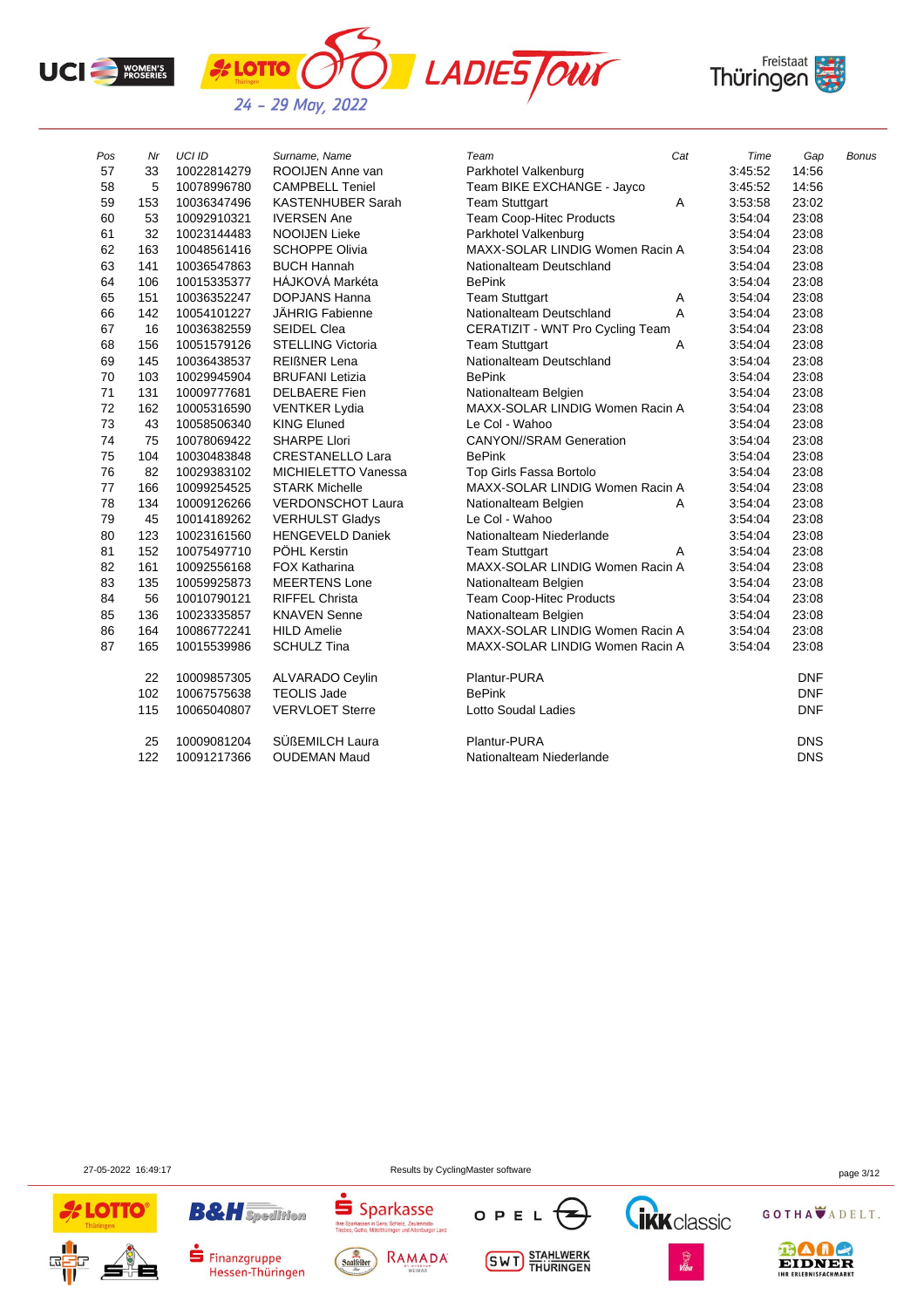





| Pos | Nr  | <b>UCI ID</b> | Surname, Name            | Team                             | Cat | Time    | Gap        | Bonus |
|-----|-----|---------------|--------------------------|----------------------------------|-----|---------|------------|-------|
| 57  | 33  | 10022814279   | ROOIJEN Anne van         | Parkhotel Valkenburg             |     | 3:45:52 | 14:56      |       |
| 58  | 5   | 10078996780   | <b>CAMPBELL Teniel</b>   | Team BIKE EXCHANGE - Jayco       |     | 3:45:52 | 14:56      |       |
| 59  | 153 | 10036347496   | <b>KASTENHUBER Sarah</b> | <b>Team Stuttgart</b>            | Α   | 3:53:58 | 23:02      |       |
| 60  | 53  | 10092910321   | <b>IVERSEN Ane</b>       | Team Coop-Hitec Products         |     | 3:54:04 | 23:08      |       |
| 61  | 32  | 10023144483   | <b>NOOIJEN Lieke</b>     | Parkhotel Valkenburg             |     | 3:54:04 | 23:08      |       |
| 62  | 163 | 10048561416   | <b>SCHOPPE Olivia</b>    | MAXX-SOLAR LINDIG Women Racin A  |     | 3:54:04 | 23:08      |       |
| 63  | 141 | 10036547863   | <b>BUCH Hannah</b>       | Nationalteam Deutschland         |     | 3:54:04 | 23:08      |       |
| 64  | 106 | 10015335377   | HÁJKOVÁ Markéta          | <b>BePink</b>                    |     | 3:54:04 | 23:08      |       |
| 65  | 151 | 10036352247   | <b>DOPJANS Hanna</b>     | <b>Team Stuttgart</b>            | Α   | 3:54:04 | 23:08      |       |
| 66  | 142 | 10054101227   | <b>JÄHRIG Fabienne</b>   | Nationalteam Deutschland         | A   | 3:54:04 | 23:08      |       |
| 67  | 16  | 10036382559   | <b>SEIDEL Clea</b>       | CERATIZIT - WNT Pro Cycling Team |     | 3:54:04 | 23:08      |       |
| 68  | 156 | 10051579126   | <b>STELLING Victoria</b> | <b>Team Stuttgart</b>            | Α   | 3:54:04 | 23:08      |       |
| 69  | 145 | 10036438537   | <b>REIGNER Lena</b>      | Nationalteam Deutschland         |     | 3:54:04 | 23:08      |       |
| 70  | 103 | 10029945904   | <b>BRUFANI Letizia</b>   | <b>BePink</b>                    |     | 3:54:04 | 23:08      |       |
| 71  | 131 | 10009777681   | <b>DELBAERE</b> Fien     | Nationalteam Belgien             |     | 3:54:04 | 23:08      |       |
| 72  | 162 | 10005316590   | <b>VENTKER Lydia</b>     | MAXX-SOLAR LINDIG Women Racin A  |     | 3:54:04 | 23:08      |       |
| 73  | 43  | 10058506340   | <b>KING Eluned</b>       | Le Col - Wahoo                   |     | 3:54:04 | 23:08      |       |
| 74  | 75  | 10078069422   | <b>SHARPE Llori</b>      | <b>CANYON//SRAM Generation</b>   |     | 3:54:04 | 23:08      |       |
| 75  | 104 | 10030483848   | <b>CRESTANELLO Lara</b>  | <b>BePink</b>                    |     | 3:54:04 | 23:08      |       |
| 76  | 82  | 10029383102   | MICHIELETTO Vanessa      | Top Girls Fassa Bortolo          |     | 3:54:04 | 23:08      |       |
| 77  | 166 | 10099254525   | <b>STARK Michelle</b>    | MAXX-SOLAR LINDIG Women Racin A  |     | 3:54:04 | 23:08      |       |
| 78  | 134 | 10009126266   | <b>VERDONSCHOT Laura</b> | Nationalteam Belgien             | Α   | 3:54:04 | 23:08      |       |
| 79  | 45  | 10014189262   | <b>VERHULST Gladys</b>   | Le Col - Wahoo                   |     | 3:54:04 | 23:08      |       |
| 80  | 123 | 10023161560   | <b>HENGEVELD Daniek</b>  | Nationalteam Niederlande         |     | 3:54:04 | 23:08      |       |
| 81  | 152 | 10075497710   | PÖHL Kerstin             | <b>Team Stuttgart</b>            | A   | 3:54:04 | 23:08      |       |
| 82  | 161 | 10092556168   | <b>FOX Katharina</b>     | MAXX-SOLAR LINDIG Women Racin A  |     | 3:54:04 | 23:08      |       |
| 83  | 135 | 10059925873   | <b>MEERTENS Lone</b>     | Nationalteam Belgien             |     | 3:54:04 | 23:08      |       |
| 84  | 56  | 10010790121   | <b>RIFFEL Christa</b>    | <b>Team Coop-Hitec Products</b>  |     | 3:54:04 | 23:08      |       |
| 85  | 136 | 10023335857   | <b>KNAVEN Senne</b>      | Nationalteam Belgien             |     | 3:54:04 | 23:08      |       |
| 86  | 164 | 10086772241   | <b>HILD Amelie</b>       | MAXX-SOLAR LINDIG Women Racin A  |     | 3:54:04 | 23:08      |       |
| 87  | 165 | 10015539986   | <b>SCHULZ Tina</b>       | MAXX-SOLAR LINDIG Women Racin A  |     | 3:54:04 | 23:08      |       |
|     | 22  | 10009857305   | <b>ALVARADO Ceylin</b>   | Plantur-PURA                     |     |         | <b>DNF</b> |       |
|     | 102 | 10067575638   | <b>TEOLIS Jade</b>       | <b>BePink</b>                    |     |         | <b>DNF</b> |       |
|     | 115 | 10065040807   | <b>VERVLOET Sterre</b>   | <b>Lotto Soudal Ladies</b>       |     |         | <b>DNF</b> |       |
|     | 25  | 10009081204   | SÜßEMILCH Laura          | Plantur-PURA                     |     |         | <b>DNS</b> |       |
|     | 122 | 10091217366   | <b>OUDEMAN Maud</b>      | Nationalteam Niederlande         |     |         | <b>DNS</b> |       |

27-05-2022 16:49:17 Results by CyclingMaster software page 3/12

**OTTO** 

 $\overline{5}$ 

Sparkasse









GOTHA ADELT.





**B&H** Spedition



**SWT** STAHLWERK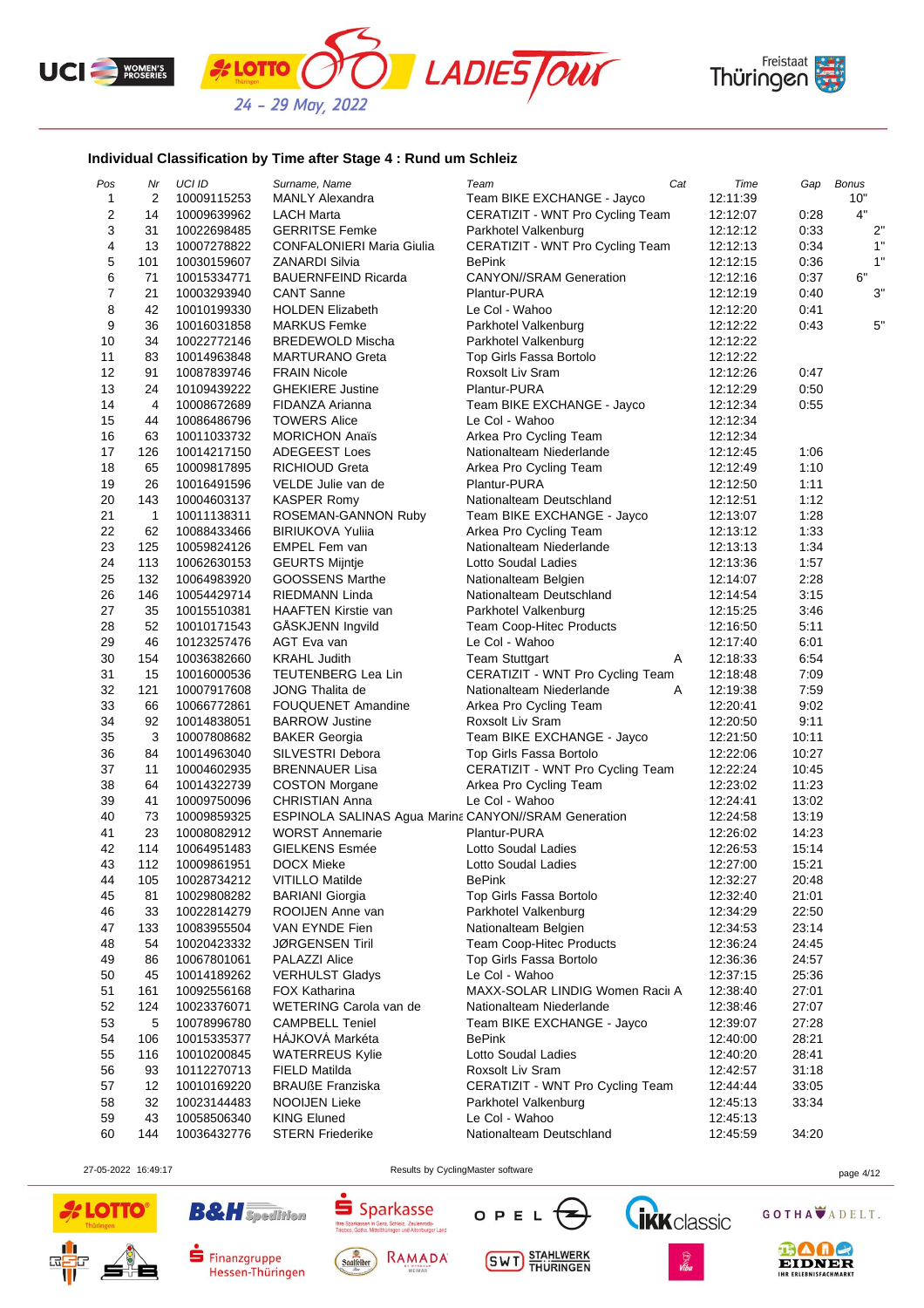





## **Individual Classification by Time after Stage 4 : Rund um Schleiz**

*'s* **LOTTO** 

| Pos                     | Nr  | UCI ID      | Surname, Name                                        | Team                             | Cat | Time     | Gap   | <b>Bonus</b> |
|-------------------------|-----|-------------|------------------------------------------------------|----------------------------------|-----|----------|-------|--------------|
| 1                       | 2   | 10009115253 | <b>MANLY Alexandra</b>                               | Team BIKE EXCHANGE - Jayco       |     | 12:11:39 |       | 10"          |
| $\overline{\mathbf{c}}$ | 14  | 10009639962 | LACH Marta                                           | CERATIZIT - WNT Pro Cycling Team |     | 12:12:07 | 0:28  | 4"           |
| 3                       | 31  | 10022698485 | <b>GERRITSE Femke</b>                                | Parkhotel Valkenburg             |     | 12:12:12 | 0:33  | 2"           |
| 4                       | 13  | 10007278822 | CONFALONIERI Maria Giulia                            | CERATIZIT - WNT Pro Cycling Team |     | 12:12:13 | 0:34  | 1"           |
| 5                       | 101 | 10030159607 | ZANARDI Silvia                                       | <b>BePink</b>                    |     | 12:12:15 | 0:36  | 1"           |
| 6                       | 71  | 10015334771 | <b>BAUERNFEIND Ricarda</b>                           | <b>CANYON//SRAM Generation</b>   |     | 12:12:16 | 0:37  | 6"           |
| $\overline{7}$          | 21  | 10003293940 | <b>CANT Sanne</b>                                    | Plantur-PURA                     |     | 12:12:19 | 0:40  | 3"           |
| 8                       | 42  | 10010199330 | <b>HOLDEN Elizabeth</b>                              | Le Col - Wahoo                   |     | 12:12:20 | 0:41  |              |
| 9                       | 36  | 10016031858 | <b>MARKUS Femke</b>                                  | Parkhotel Valkenburg             |     | 12:12:22 | 0:43  | 5"           |
| 10                      | 34  | 10022772146 | <b>BREDEWOLD Mischa</b>                              | Parkhotel Valkenburg             |     | 12:12:22 |       |              |
| 11                      | 83  | 10014963848 | <b>MARTURANO Greta</b>                               | Top Girls Fassa Bortolo          |     | 12:12:22 |       |              |
| 12                      | 91  | 10087839746 | <b>FRAIN Nicole</b>                                  | Roxsolt Liv Sram                 |     | 12:12:26 | 0:47  |              |
|                         |     |             | <b>GHEKIERE Justine</b>                              | Plantur-PURA                     |     |          |       |              |
| 13                      | 24  | 10109439222 |                                                      |                                  |     | 12:12:29 | 0:50  |              |
| 14                      | 4   | 10008672689 | FIDANZA Arianna                                      | Team BIKE EXCHANGE - Jayco       |     | 12:12:34 | 0:55  |              |
| 15                      | 44  | 10086486796 | <b>TOWERS Alice</b>                                  | Le Col - Wahoo                   |     | 12:12:34 |       |              |
| 16                      | 63  | 10011033732 | <b>MORICHON Anaïs</b>                                | Arkea Pro Cycling Team           |     | 12:12:34 |       |              |
| 17                      | 126 | 10014217150 | <b>ADEGEEST Loes</b>                                 | Nationalteam Niederlande         |     | 12:12:45 | 1:06  |              |
| 18                      | 65  | 10009817895 | RICHIOUD Greta                                       | Arkea Pro Cycling Team           |     | 12:12:49 | 1:10  |              |
| 19                      | 26  | 10016491596 | VELDE Julie van de                                   | Plantur-PURA                     |     | 12:12:50 | 1:11  |              |
| 20                      | 143 | 10004603137 | <b>KASPER Romy</b>                                   | Nationalteam Deutschland         |     | 12:12:51 | 1:12  |              |
| 21                      | 1   | 10011138311 | ROSEMAN-GANNON Ruby                                  | Team BIKE EXCHANGE - Jayco       |     | 12:13:07 | 1:28  |              |
| 22                      | 62  | 10088433466 | <b>BIRIUKOVA Yulija</b>                              | Arkea Pro Cycling Team           |     | 12:13:12 | 1:33  |              |
| 23                      | 125 | 10059824126 | <b>EMPEL Fem van</b>                                 | Nationalteam Niederlande         |     | 12:13:13 | 1:34  |              |
| 24                      | 113 | 10062630153 | <b>GEURTS Mijntje</b>                                | Lotto Soudal Ladies              |     | 12:13:36 | 1:57  |              |
| 25                      | 132 | 10064983920 | <b>GOOSSENS Marthe</b>                               | Nationalteam Belgien             |     | 12:14:07 | 2:28  |              |
| 26                      | 146 | 10054429714 | <b>RIEDMANN Linda</b>                                | Nationalteam Deutschland         |     | 12:14:54 | 3:15  |              |
| 27                      | 35  | 10015510381 | <b>HAAFTEN Kirstie van</b>                           | Parkhotel Valkenburg             |     | 12:15:25 | 3:46  |              |
| 28                      | 52  | 10010171543 | GÅSKJENN Ingvild                                     | <b>Team Coop-Hitec Products</b>  |     | 12:16:50 | 5:11  |              |
| 29                      | 46  | 10123257476 | AGT Eva van                                          | Le Col - Wahoo                   |     | 12:17:40 | 6:01  |              |
| 30                      | 154 | 10036382660 | <b>KRAHL Judith</b>                                  | <b>Team Stuttgart</b>            | Α   | 12:18:33 | 6:54  |              |
| 31                      | 15  | 10016000536 | TEUTENBERG Lea Lin                                   | CERATIZIT - WNT Pro Cycling Team |     | 12:18:48 | 7:09  |              |
| 32                      | 121 | 10007917608 | <b>JONG Thalita de</b>                               | Nationalteam Niederlande         | Α   | 12:19:38 | 7:59  |              |
| 33                      | 66  | 10066772861 | <b>FOUQUENET Amandine</b>                            | Arkea Pro Cycling Team           |     | 12:20:41 | 9:02  |              |
| 34                      | 92  | 10014838051 | <b>BARROW Justine</b>                                | Roxsolt Liv Sram                 |     | 12:20:50 | 9:11  |              |
| 35                      | 3   | 10007808682 | <b>BAKER Georgia</b>                                 | Team BIKE EXCHANGE - Jayco       |     | 12:21:50 | 10:11 |              |
| 36                      | 84  | 10014963040 | SILVESTRI Debora                                     | Top Girls Fassa Bortolo          |     | 12:22:06 | 10:27 |              |
|                         |     |             |                                                      |                                  |     |          |       |              |
| 37                      | 11  | 10004602935 | <b>BRENNAUER Lisa</b>                                | CERATIZIT - WNT Pro Cycling Team |     | 12:22:24 | 10:45 |              |
| 38                      | 64  | 10014322739 | <b>COSTON Morgane</b>                                | Arkea Pro Cycling Team           |     | 12:23:02 | 11:23 |              |
| 39                      | 41  | 10009750096 | <b>CHRISTIAN Anna</b>                                | Le Col - Wahoo                   |     | 12:24:41 | 13:02 |              |
| 40                      | 73  | 10009859325 | ESPINOLA SALINAS Agua Marina CANYON//SRAM Generation |                                  |     | 12:24:58 | 13:19 |              |
| 41                      | 23  | 10008082912 | <b>WORST Annemarie</b>                               | Plantur-PURA                     |     | 12:26:02 | 14:23 |              |
| 42                      | 114 | 10064951483 | <b>GIELKENS Esmée</b>                                | Lotto Soudal Ladies              |     | 12:26:53 | 15:14 |              |
| 43                      | 112 | 10009861951 | <b>DOCX Mieke</b>                                    | Lotto Soudal Ladies              |     | 12:27:00 | 15:21 |              |
| 44                      | 105 | 10028734212 | <b>VITILLO Matilde</b>                               | <b>BePink</b>                    |     | 12:32:27 | 20:48 |              |
| 45                      | 81  | 10029808282 | <b>BARIANI</b> Giorgia                               | Top Girls Fassa Bortolo          |     | 12:32:40 | 21:01 |              |
| 46                      | 33  | 10022814279 | ROOIJEN Anne van                                     | Parkhotel Valkenburg             |     | 12:34:29 | 22:50 |              |
| 47                      | 133 | 10083955504 | VAN EYNDE Fien                                       | Nationalteam Belgien             |     | 12:34:53 | 23:14 |              |
| 48                      | 54  | 10020423332 | <b>JØRGENSEN Tiril</b>                               | <b>Team Coop-Hitec Products</b>  |     | 12:36:24 | 24:45 |              |
| 49                      | 86  | 10067801061 | PALAZZI Alice                                        | Top Girls Fassa Bortolo          |     | 12:36:36 | 24:57 |              |
| 50                      | 45  | 10014189262 | <b>VERHULST Gladys</b>                               | Le Col - Wahoo                   |     | 12:37:15 | 25:36 |              |
| 51                      | 161 | 10092556168 | <b>FOX Katharina</b>                                 | MAXX-SOLAR LINDIG Women Racii A  |     | 12:38:40 | 27:01 |              |
| 52                      | 124 | 10023376071 | WETERING Carola van de                               | Nationalteam Niederlande         |     | 12:38:46 | 27:07 |              |
| 53                      | 5   | 10078996780 | <b>CAMPBELL Teniel</b>                               | Team BIKE EXCHANGE - Jayco       |     | 12:39:07 | 27:28 |              |
| 54                      | 106 | 10015335377 | HAJKOVA Markéta                                      | <b>BePink</b>                    |     | 12:40:00 | 28:21 |              |
| 55                      | 116 | 10010200845 | <b>WATERREUS Kylie</b>                               | Lotto Soudal Ladies              |     | 12:40:20 | 28:41 |              |
| 56                      | 93  | 10112270713 | FIELD Matilda                                        | Roxsolt Liv Sram                 |     | 12:42:57 | 31:18 |              |
| 57                      | 12  | 10010169220 | <b>BRAUßE Franziska</b>                              | CERATIZIT - WNT Pro Cycling Team |     | 12:44:44 | 33:05 |              |
| 58                      | 32  | 10023144483 | NOOIJEN Lieke                                        | Parkhotel Valkenburg             |     | 12:45:13 | 33:34 |              |
|                         | 43  |             | <b>KING Eluned</b>                                   | Le Col - Wahoo                   |     |          |       |              |
| 59                      |     | 10058506340 |                                                      |                                  |     | 12:45:13 |       |              |
| 60                      | 144 | 10036432776 | <b>STERN Friederike</b>                              | Nationalteam Deutschland         |     | 12:45:59 | 34:20 |              |

27-05-2022 16:49:17 Results by CyclingMaster software page 4/12





**B&H** Spedition



 $S<sub>parkasse</sub>$ 

Thre Sp







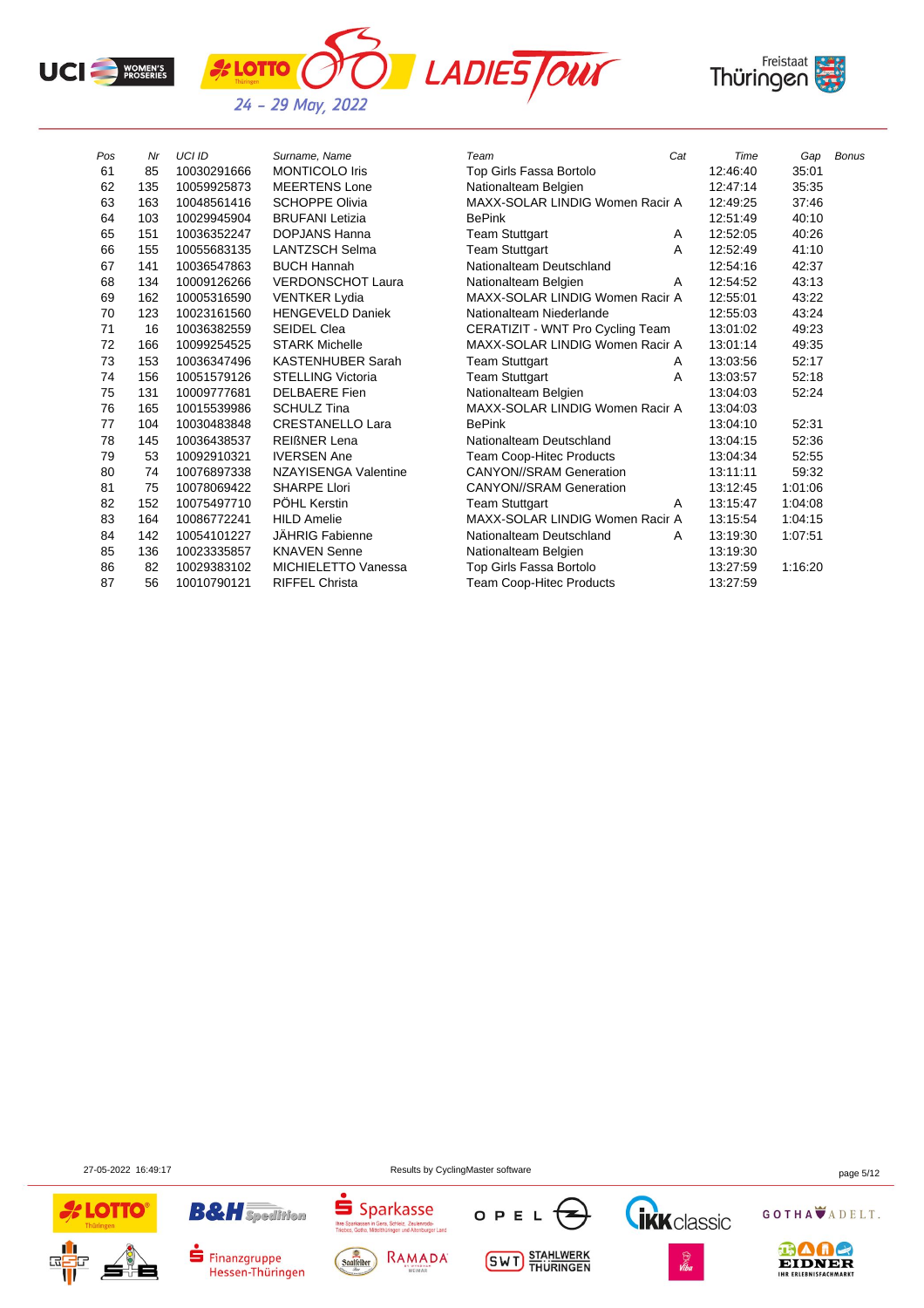



| Pos | Nr  | <b>UCI ID</b> | Surname, Name              | Team                             | Cat | Time     | Gap     | <b>Bonus</b> |
|-----|-----|---------------|----------------------------|----------------------------------|-----|----------|---------|--------------|
| 61  | 85  | 10030291666   | <b>MONTICOLO Iris</b>      | Top Girls Fassa Bortolo          |     | 12:46:40 | 35:01   |              |
| 62  | 135 | 10059925873   | <b>MEERTENS Lone</b>       | Nationalteam Belgien             |     | 12:47:14 | 35:35   |              |
| 63  | 163 | 10048561416   | <b>SCHOPPE Olivia</b>      | MAXX-SOLAR LINDIG Women Racir A  |     | 12:49:25 | 37:46   |              |
| 64  | 103 | 10029945904   | <b>BRUFANI</b> Letizia     | <b>BePink</b>                    |     | 12:51:49 | 40:10   |              |
| 65  | 151 | 10036352247   | <b>DOPJANS Hanna</b>       | <b>Team Stuttgart</b>            | A   | 12:52:05 | 40:26   |              |
| 66  | 155 | 10055683135   | <b>LANTZSCH Selma</b>      | <b>Team Stuttgart</b>            | A   | 12:52:49 | 41:10   |              |
| 67  | 141 | 10036547863   | <b>BUCH Hannah</b>         | Nationalteam Deutschland         |     | 12:54:16 | 42:37   |              |
| 68  | 134 | 10009126266   | <b>VERDONSCHOT Laura</b>   | Nationalteam Belgien             | A   | 12:54:52 | 43:13   |              |
| 69  | 162 | 10005316590   | <b>VENTKER Lydia</b>       | MAXX-SOLAR LINDIG Women Racir A  |     | 12:55:01 | 43:22   |              |
| 70  | 123 | 10023161560   | <b>HENGEVELD Daniek</b>    | Nationalteam Niederlande         |     | 12:55:03 | 43:24   |              |
| 71  | 16  | 10036382559   | <b>SEIDEL Clea</b>         | CERATIZIT - WNT Pro Cycling Team |     | 13:01:02 | 49:23   |              |
| 72  | 166 | 10099254525   | <b>STARK Michelle</b>      | MAXX-SOLAR LINDIG Women Racir A  |     | 13:01:14 | 49:35   |              |
| 73  | 153 | 10036347496   | <b>KASTENHUBER Sarah</b>   | <b>Team Stuttgart</b>            | A   | 13:03:56 | 52:17   |              |
| 74  | 156 | 10051579126   | <b>STELLING Victoria</b>   | <b>Team Stuttgart</b>            | A   | 13:03:57 | 52:18   |              |
| 75  | 131 | 10009777681   | <b>DELBAERE</b> Fien       | Nationalteam Belgien             |     | 13:04:03 | 52:24   |              |
| 76  | 165 | 10015539986   | <b>SCHULZ Tina</b>         | MAXX-SOLAR LINDIG Women Racir A  |     | 13:04:03 |         |              |
| 77  | 104 | 10030483848   | <b>CRESTANELLO Lara</b>    | <b>BePink</b>                    |     | 13:04:10 | 52:31   |              |
| 78  | 145 | 10036438537   | <b>REIGNER Lena</b>        | Nationalteam Deutschland         |     | 13:04:15 | 52:36   |              |
| 79  | 53  | 10092910321   | <b>IVERSEN Ane</b>         | Team Coop-Hitec Products         |     | 13:04:34 | 52:55   |              |
| 80  | 74  | 10076897338   | NZAYISENGA Valentine       | <b>CANYON//SRAM Generation</b>   |     | 13:11:11 | 59:32   |              |
| 81  | 75  | 10078069422   | <b>SHARPE Llori</b>        | <b>CANYON//SRAM Generation</b>   |     | 13:12:45 | 1:01:06 |              |
| 82  | 152 | 10075497710   | PÖHL Kerstin               | <b>Team Stuttgart</b>            | A   | 13:15:47 | 1:04:08 |              |
| 83  | 164 | 10086772241   | <b>HILD Amelie</b>         | MAXX-SOLAR LINDIG Women Racir A  |     | 13:15:54 | 1:04:15 |              |
| 84  | 142 | 10054101227   | JÄHRIG Fabienne            | Nationalteam Deutschland         | A   | 13:19:30 | 1:07:51 |              |
| 85  | 136 | 10023335857   | <b>KNAVEN Senne</b>        | Nationalteam Belgien             |     | 13:19:30 |         |              |
| 86  | 82  | 10029383102   | <b>MICHIELETTO Vanessa</b> | Top Girls Fassa Bortolo          |     | 13:27:59 | 1:16:20 |              |
| 87  | 56  | 10010790121   | <b>RIFFEL Christa</b>      | <b>Team Coop-Hitec Products</b>  |     | 13:27:59 |         |              |

27-05-2022 16:49:17 Results by CyclingMaster software page 5/12



**B&H** Spedition  $\blacksquare$  Finanzgruppe





**SWT** STAHLWERK





GOTHA ADELT.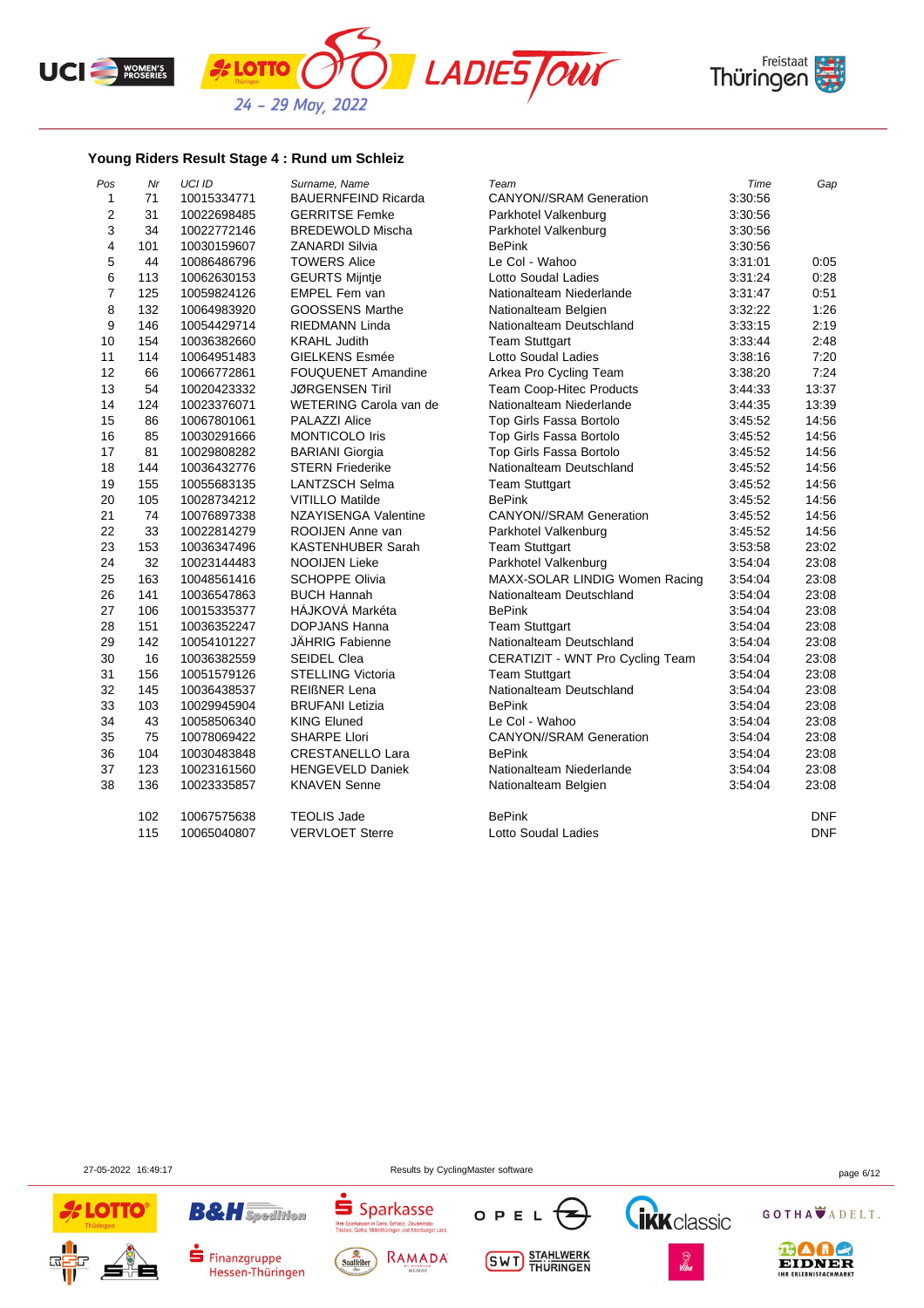





## **Young Riders Result Stage 4 : Rund um Schleiz**

| Pos            | Nr  | UCI ID      | Surname, Name              | Team                             | Time    | Gap        |
|----------------|-----|-------------|----------------------------|----------------------------------|---------|------------|
| 1              | 71  | 10015334771 | <b>BAUERNFEIND Ricarda</b> | <b>CANYON//SRAM Generation</b>   | 3:30:56 |            |
| $\overline{2}$ | 31  | 10022698485 | <b>GERRITSE Femke</b>      | Parkhotel Valkenburg             | 3:30:56 |            |
| 3              | 34  | 10022772146 | <b>BREDEWOLD Mischa</b>    | Parkhotel Valkenburg             | 3:30:56 |            |
| 4              | 101 | 10030159607 | <b>ZANARDI Silvia</b>      | <b>BePink</b>                    | 3:30:56 |            |
| 5              | 44  | 10086486796 | <b>TOWERS Alice</b>        | Le Col - Wahoo                   | 3:31:01 | 0:05       |
| 6              | 113 | 10062630153 | <b>GEURTS Mijntje</b>      | Lotto Soudal Ladies              | 3:31:24 | 0:28       |
| $\overline{7}$ | 125 | 10059824126 | <b>EMPEL Fem van</b>       | Nationalteam Niederlande         | 3:31:47 | 0:51       |
| 8              | 132 | 10064983920 | GOOSSENS Marthe            | Nationalteam Belgien             | 3:32:22 | 1:26       |
| 9              | 146 | 10054429714 | <b>RIEDMANN Linda</b>      | Nationalteam Deutschland         | 3:33:15 | 2:19       |
| 10             | 154 | 10036382660 | <b>KRAHL Judith</b>        | <b>Team Stuttgart</b>            | 3:33:44 | 2:48       |
| 11             | 114 | 10064951483 | <b>GIELKENS Esmée</b>      | Lotto Soudal Ladies              | 3:38:16 | 7:20       |
| 12             | 66  | 10066772861 | <b>FOUQUENET Amandine</b>  | Arkea Pro Cycling Team           | 3:38:20 | 7:24       |
| 13             | 54  | 10020423332 | <b>JØRGENSEN Tiril</b>     | Team Coop-Hitec Products         | 3:44:33 | 13:37      |
| 14             | 124 | 10023376071 | WETERING Carola van de     | Nationalteam Niederlande         | 3:44:35 | 13:39      |
| 15             | 86  | 10067801061 | <b>PALAZZI Alice</b>       | Top Girls Fassa Bortolo          | 3:45:52 | 14:56      |
| 16             | 85  | 10030291666 | <b>MONTICOLO Iris</b>      | Top Girls Fassa Bortolo          | 3:45:52 | 14:56      |
| 17             | 81  | 10029808282 | <b>BARIANI</b> Giorgia     | Top Girls Fassa Bortolo          | 3:45:52 | 14:56      |
| 18             | 144 | 10036432776 | <b>STERN Friederike</b>    | Nationalteam Deutschland         | 3:45:52 | 14:56      |
| 19             | 155 | 10055683135 | <b>LANTZSCH Selma</b>      | <b>Team Stuttgart</b>            | 3:45:52 | 14:56      |
| 20             | 105 | 10028734212 | <b>VITILLO Matilde</b>     | <b>BePink</b>                    | 3:45:52 | 14:56      |
| 21             | 74  | 10076897338 | NZAYISENGA Valentine       | <b>CANYON//SRAM Generation</b>   | 3:45:52 | 14:56      |
| 22             | 33  | 10022814279 | ROOIJEN Anne van           | Parkhotel Valkenburg             | 3:45:52 | 14:56      |
| 23             | 153 | 10036347496 | <b>KASTENHUBER Sarah</b>   | <b>Team Stuttgart</b>            | 3:53:58 | 23:02      |
| 24             | 32  | 10023144483 | <b>NOOIJEN Lieke</b>       | Parkhotel Valkenburg             | 3:54:04 | 23:08      |
| 25             | 163 | 10048561416 | <b>SCHOPPE Olivia</b>      | MAXX-SOLAR LINDIG Women Racing   | 3:54:04 | 23:08      |
| 26             | 141 | 10036547863 | <b>BUCH Hannah</b>         | Nationalteam Deutschland         | 3:54:04 | 23:08      |
| 27             | 106 | 10015335377 | HAJKOVÁ Markéta            | <b>BePink</b>                    | 3:54:04 | 23:08      |
| 28             | 151 | 10036352247 | <b>DOPJANS Hanna</b>       | <b>Team Stuttgart</b>            | 3.54.04 | 23:08      |
| 29             | 142 | 10054101227 | JÄHRIG Fabienne            | Nationalteam Deutschland         | 3:54:04 | 23:08      |
| 30             | 16  | 10036382559 | <b>SEIDEL Clea</b>         | CERATIZIT - WNT Pro Cycling Team | 3:54:04 | 23:08      |
| 31             | 156 | 10051579126 | STELLING Victoria          | <b>Team Stuttgart</b>            | 3:54:04 | 23:08      |
| 32             | 145 | 10036438537 | <b>REIGNER Lena</b>        | Nationalteam Deutschland         | 3:54:04 | 23:08      |
| 33             | 103 | 10029945904 | <b>BRUFANI</b> Letizia     | <b>BePink</b>                    | 3:54:04 | 23:08      |
| 34             | 43  | 10058506340 | <b>KING Eluned</b>         | Le Col - Wahoo                   | 3:54:04 | 23:08      |
| 35             | 75  | 10078069422 | <b>SHARPE Llori</b>        | <b>CANYON//SRAM Generation</b>   | 3.54.04 | 23:08      |
| 36             | 104 | 10030483848 | <b>CRESTANELLO Lara</b>    | <b>BePink</b>                    | 3:54:04 | 23:08      |
| 37             | 123 | 10023161560 | <b>HENGEVELD Daniek</b>    | Nationalteam Niederlande         | 3:54:04 | 23:08      |
| 38             | 136 | 10023335857 | <b>KNAVEN Senne</b>        | Nationalteam Belgien             | 3.54.04 | 23:08      |
|                | 102 | 10067575638 | <b>TEOLIS Jade</b>         | <b>BePink</b>                    |         | <b>DNF</b> |
|                | 115 | 10065040807 | <b>VERVLOET Sterre</b>     | Lotto Soudal Ladies              |         | <b>DNF</b> |

27-05-2022 16:49:17 Results by CyclingMaster software page 6/12





**B&H** Spedition

Finanzgruppe

Hessen-Thüringen





**SWT** STAHLWERK





⊕∆ae EIDNER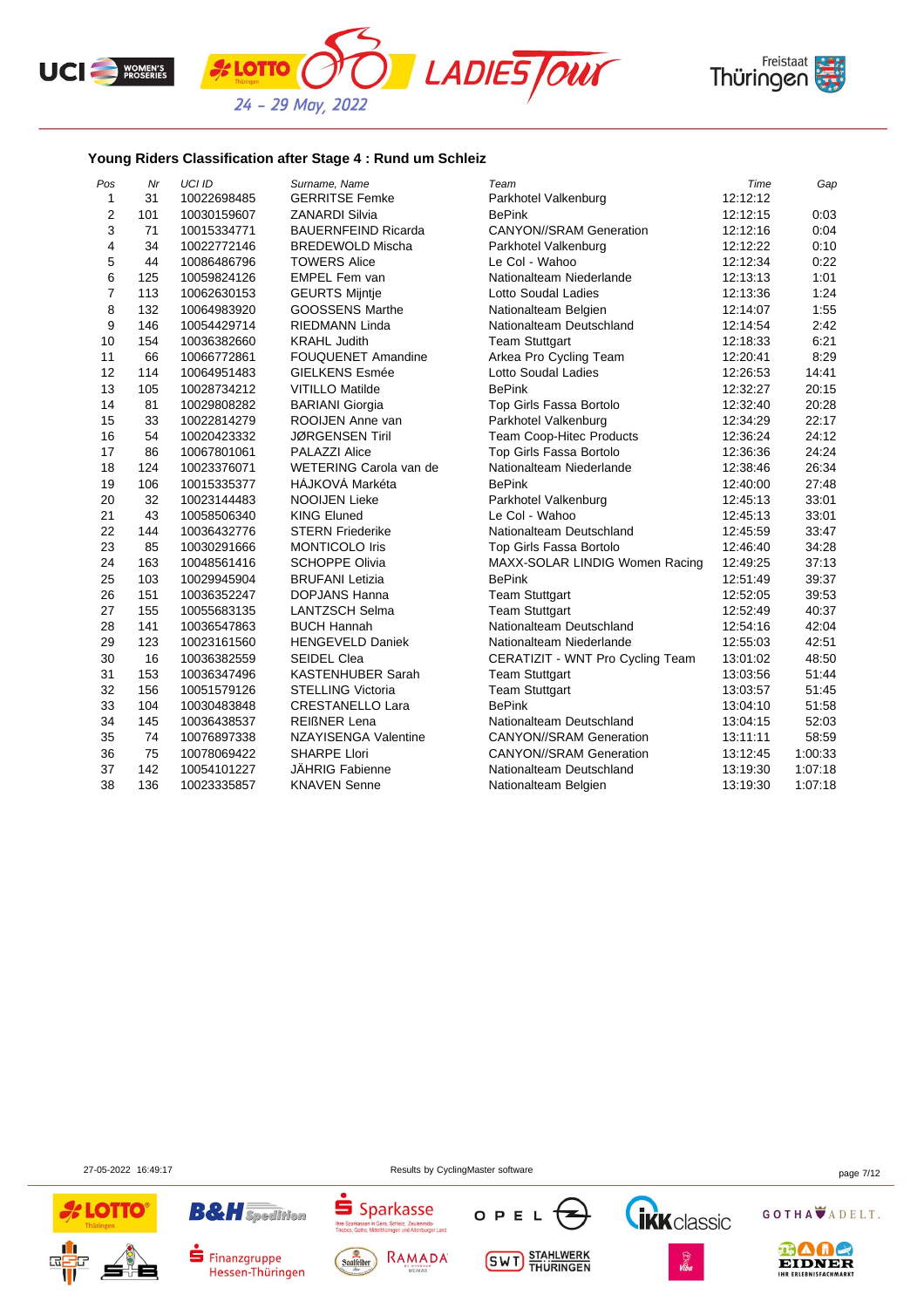





## **Young Riders Classification after Stage 4 : Rund um Schleiz**

| Pos                     | Mr  | <b>UCI ID</b> | Surname, Name               | Team                             | Time     | Gap     |
|-------------------------|-----|---------------|-----------------------------|----------------------------------|----------|---------|
| $\mathbf{1}$            | 31  | 10022698485   | <b>GERRITSE Femke</b>       | Parkhotel Valkenburg             | 12:12:12 |         |
| $\overline{\mathbf{c}}$ | 101 | 10030159607   | <b>ZANARDI Silvia</b>       | <b>BePink</b>                    | 12:12:15 | 0:03    |
| 3                       | 71  | 10015334771   | <b>BAUERNFEIND Ricarda</b>  | <b>CANYON//SRAM Generation</b>   | 12:12:16 | 0:04    |
| $\overline{4}$          | 34  | 10022772146   | <b>BREDEWOLD Mischa</b>     | Parkhotel Valkenburg             | 12:12:22 | 0:10    |
| 5                       | 44  | 10086486796   | <b>TOWERS Alice</b>         | Le Col - Wahoo                   | 12:12:34 | 0:22    |
| 6                       | 125 | 10059824126   | EMPEL Fem van               | Nationalteam Niederlande         | 12:13:13 | 1:01    |
| $\overline{7}$          | 113 | 10062630153   | <b>GEURTS Mijntje</b>       | Lotto Soudal Ladies              | 12:13:36 | 1:24    |
| 8                       | 132 | 10064983920   | <b>GOOSSENS Marthe</b>      | Nationalteam Belgien             | 12:14:07 | 1:55    |
| 9                       | 146 | 10054429714   | <b>RIEDMANN Linda</b>       | Nationalteam Deutschland         | 12:14:54 | 2:42    |
| 10                      | 154 | 10036382660   | <b>KRAHL Judith</b>         | <b>Team Stuttgart</b>            | 12:18:33 | 6:21    |
| 11                      | 66  | 10066772861   | <b>FOUQUENET Amandine</b>   | Arkea Pro Cycling Team           | 12:20:41 | 8:29    |
| 12                      | 114 | 10064951483   | <b>GIELKENS Esmée</b>       | Lotto Soudal Ladies              | 12:26:53 | 14:41   |
| 13                      | 105 | 10028734212   | <b>VITILLO Matilde</b>      | <b>BePink</b>                    | 12:32:27 | 20:15   |
| 14                      | 81  | 10029808282   | <b>BARIANI</b> Giorgia      | Top Girls Fassa Bortolo          | 12:32:40 | 20:28   |
| 15                      | 33  | 10022814279   | ROOIJEN Anne van            | Parkhotel Valkenburg             | 12:34:29 | 22:17   |
| 16                      | 54  | 10020423332   | <b>JØRGENSEN Tiril</b>      | Team Coop-Hitec Products         | 12:36:24 | 24:12   |
| 17                      | 86  | 10067801061   | <b>PALAZZI Alice</b>        | Top Girls Fassa Bortolo          | 12:36:36 | 24:24   |
| 18                      | 124 | 10023376071   | WETERING Carola van de      | Nationalteam Niederlande         | 12:38:46 | 26:34   |
| 19                      | 106 | 10015335377   | HÁJKOVÁ Markéta             | <b>BePink</b>                    | 12:40:00 | 27:48   |
| 20                      | 32  | 10023144483   | <b>NOOIJEN Lieke</b>        | Parkhotel Valkenburg             | 12:45:13 | 33:01   |
| 21                      | 43  | 10058506340   | <b>KING Eluned</b>          | Le Col - Wahoo                   | 12:45:13 | 33:01   |
| 22                      | 144 | 10036432776   | <b>STERN Friederike</b>     | Nationalteam Deutschland         | 12:45:59 | 33:47   |
| 23                      | 85  | 10030291666   | <b>MONTICOLO Iris</b>       | Top Girls Fassa Bortolo          | 12:46:40 | 34:28   |
| 24                      | 163 | 10048561416   | <b>SCHOPPE Olivia</b>       | MAXX-SOLAR LINDIG Women Racing   | 12:49:25 | 37:13   |
| 25                      | 103 | 10029945904   | <b>BRUFANI Letizia</b>      | <b>BePink</b>                    | 12:51:49 | 39:37   |
| 26                      | 151 | 10036352247   | <b>DOPJANS Hanna</b>        | <b>Team Stuttgart</b>            | 12:52:05 | 39:53   |
| 27                      | 155 | 10055683135   | <b>LANTZSCH Selma</b>       | <b>Team Stuttgart</b>            | 12:52:49 | 40:37   |
| 28                      | 141 | 10036547863   | <b>BUCH Hannah</b>          | Nationalteam Deutschland         | 12:54:16 | 42:04   |
| 29                      | 123 | 10023161560   | <b>HENGEVELD Daniek</b>     | Nationalteam Niederlande         | 12:55:03 | 42:51   |
| 30                      | 16  | 10036382559   | <b>SEIDEL Clea</b>          | CERATIZIT - WNT Pro Cycling Team | 13:01:02 | 48:50   |
| 31                      | 153 | 10036347496   | <b>KASTENHUBER Sarah</b>    | <b>Team Stuttgart</b>            | 13:03:56 | 51:44   |
| 32                      | 156 | 10051579126   | <b>STELLING Victoria</b>    | <b>Team Stuttgart</b>            | 13:03:57 | 51:45   |
| 33                      | 104 | 10030483848   | <b>CRESTANELLO Lara</b>     | <b>BePink</b>                    | 13:04:10 | 51:58   |
| 34                      | 145 | 10036438537   | <b>REIßNER Lena</b>         | Nationalteam Deutschland         | 13:04:15 | 52:03   |
| 35                      | 74  | 10076897338   | <b>NZAYISENGA Valentine</b> | <b>CANYON//SRAM Generation</b>   | 13:11:11 | 58:59   |
| 36                      | 75  | 10078069422   | <b>SHARPE Llori</b>         | <b>CANYON//SRAM Generation</b>   | 13:12:45 | 1:00:33 |
| 37                      | 142 | 10054101227   | JÄHRIG Fabienne             | Nationalteam Deutschland         | 13:19:30 | 1:07:18 |
| 38                      | 136 | 10023335857   | <b>KNAVEN Senne</b>         | Nationalteam Belgien             | 13:19:30 | 1:07:18 |

27-05-2022 16:49:17 Results by CyclingMaster software page 7/12



Thre Sp









GOTHA ADELT.



Finanzgruppe Hessen-Thüringen



J d T K d SSC<br>Gera, Schleiz, Zeulenroda-<br>ttelthüringen und Altenburger Land

**SWT** STAHLWERK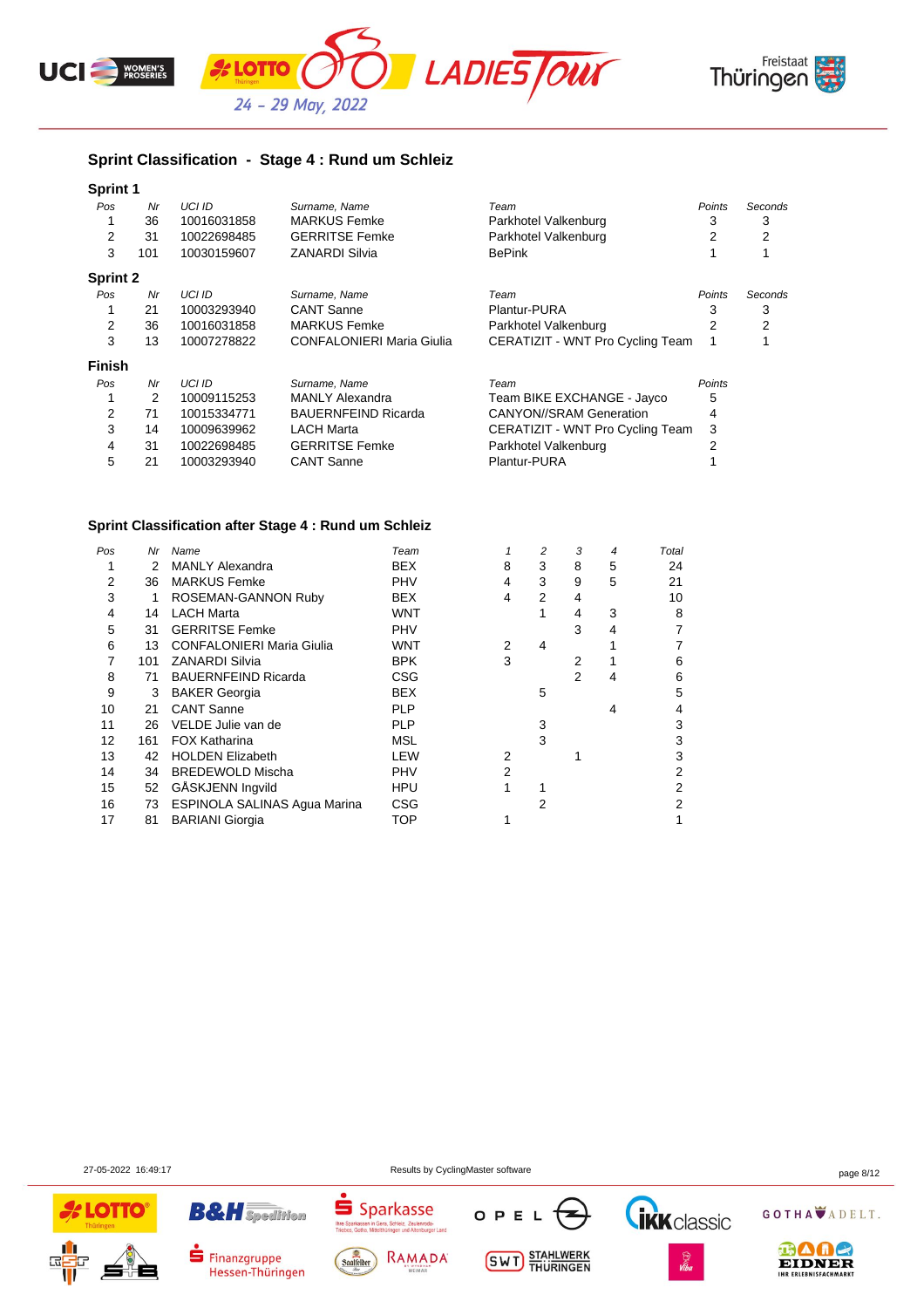





## **Sprint Classification - Stage 4 : Rund um Schleiz**

| Sprint 1        |     |             |                                  |                                  |               |         |
|-----------------|-----|-------------|----------------------------------|----------------------------------|---------------|---------|
| Pos             | Nr  | UCI ID      | Surname, Name                    | Team                             | <b>Points</b> | Seconds |
|                 | 36  | 10016031858 | <b>MARKUS Femke</b>              | Parkhotel Valkenburg             | 3             | 3       |
| 2               | 31  | 10022698485 | <b>GERRITSE Femke</b>            | Parkhotel Valkenburg             | 2             | 2       |
| 3               | 101 | 10030159607 | <b>ZANARDI Silvia</b>            | <b>BePink</b>                    |               |         |
| <b>Sprint 2</b> |     |             |                                  |                                  |               |         |
| Pos             | Nr  | UCI ID      | Surname, Name                    | Team                             | Points        | Seconds |
|                 | 21  | 10003293940 | <b>CANT Sanne</b>                | Plantur-PURA                     | 3             | 3       |
| 2               | 36  | 10016031858 | <b>MARKUS Femke</b>              | Parkhotel Valkenburg             | 2             | 2       |
| 3               | 13  | 10007278822 | <b>CONFALONIERI Maria Giulia</b> | CERATIZIT - WNT Pro Cycling Team |               |         |
| <b>Finish</b>   |     |             |                                  |                                  |               |         |
| Pos             | Nr  | UCI ID      | Surname, Name                    | Team                             | Points        |         |
|                 | 2   | 10009115253 | <b>MANLY Alexandra</b>           | Team BIKE EXCHANGE - Jayco       | 5             |         |
| 2               | 71  | 10015334771 | <b>BAUERNFEIND Ricarda</b>       | <b>CANYON//SRAM Generation</b>   | 4             |         |
| 3               | 14  | 10009639962 | <b>LACH Marta</b>                | CERATIZIT - WNT Pro Cycling Team | 3             |         |
| 4               | 31  | 10022698485 | <b>GERRITSE Femke</b>            | Parkhotel Valkenburg             | 2             |         |
| 5               | 21  | 10003293940 | <b>CANT Sanne</b>                | Plantur-PURA                     |               |         |

# **Sprint Classification after Stage 4 : Rund um Schleiz**

| Pos | Nr  | Name                             | Team       |   | 2 | 3 | 4 | Total |
|-----|-----|----------------------------------|------------|---|---|---|---|-------|
|     | 2   | <b>MANLY Alexandra</b>           | <b>BEX</b> | 8 | 3 | 8 | 5 | 24    |
| 2   | 36  | <b>MARKUS Femke</b>              | <b>PHV</b> | 4 | 3 | 9 | 5 | 21    |
| 3   | 1   | ROSEMAN-GANNON Ruby              | <b>BEX</b> | 4 | 2 | 4 |   | 10    |
| 4   | 14  | <b>LACH Marta</b>                | WNT        |   |   | 4 | 3 | 8     |
| 5   | 31  | <b>GERRITSE Femke</b>            | <b>PHV</b> |   |   | 3 | 4 |       |
| 6   | 13  | <b>CONFALONIERI Maria Giulia</b> | WNT        | 2 | 4 |   |   |       |
|     | 101 | <b>ZANARDI Silvia</b>            | <b>BPK</b> | 3 |   | 2 |   | 6     |
| 8   | 71  | <b>BAUERNFEIND Ricarda</b>       | <b>CSG</b> |   |   | 2 | 4 | 6     |
| 9   | 3   | <b>BAKER Georgia</b>             | <b>BEX</b> |   | 5 |   |   | 5     |
| 10  | 21  | <b>CANT Sanne</b>                | <b>PLP</b> |   |   |   | 4 | 4     |
| 11  | 26  | VELDE Julie van de               | <b>PLP</b> |   | 3 |   |   | 3     |
| 12  | 161 | FOX Katharina                    | <b>MSL</b> |   | 3 |   |   | 3     |
| 13  | 42  | <b>HOLDEN Elizabeth</b>          | LEW        | 2 |   |   |   | 3     |
| 14  | 34  | <b>BREDEWOLD Mischa</b>          | <b>PHV</b> | 2 |   |   |   | 2     |
| 15  | 52  | GÅSKJENN Ingvild                 | <b>HPU</b> |   |   |   |   | 2     |
| 16  | 73  | ESPINOLA SALINAS Agua Marina     | <b>CSG</b> |   | 2 |   |   | 2     |
| 17  | 81  | <b>BARIANI</b> Giorgia           | TOP        |   |   |   |   |       |

**B&H** Spedition

Finanzgruppe

Hessen-Thüringen

27-05-2022 16:49:17 Results by CyclingMaster software page 8/12

OPEL

**SWT** STAHLWERK



 $S<sub>parkasse</sub>$ 

**Thre Sp**<br>Trinhas

Saalfelder

sen in Gera, Schleiz, Zeulenroda-<br>a, Mittelthüringen und Altenburger Land

RAMADA

GOTHA ADELT.

**Tikk** classic

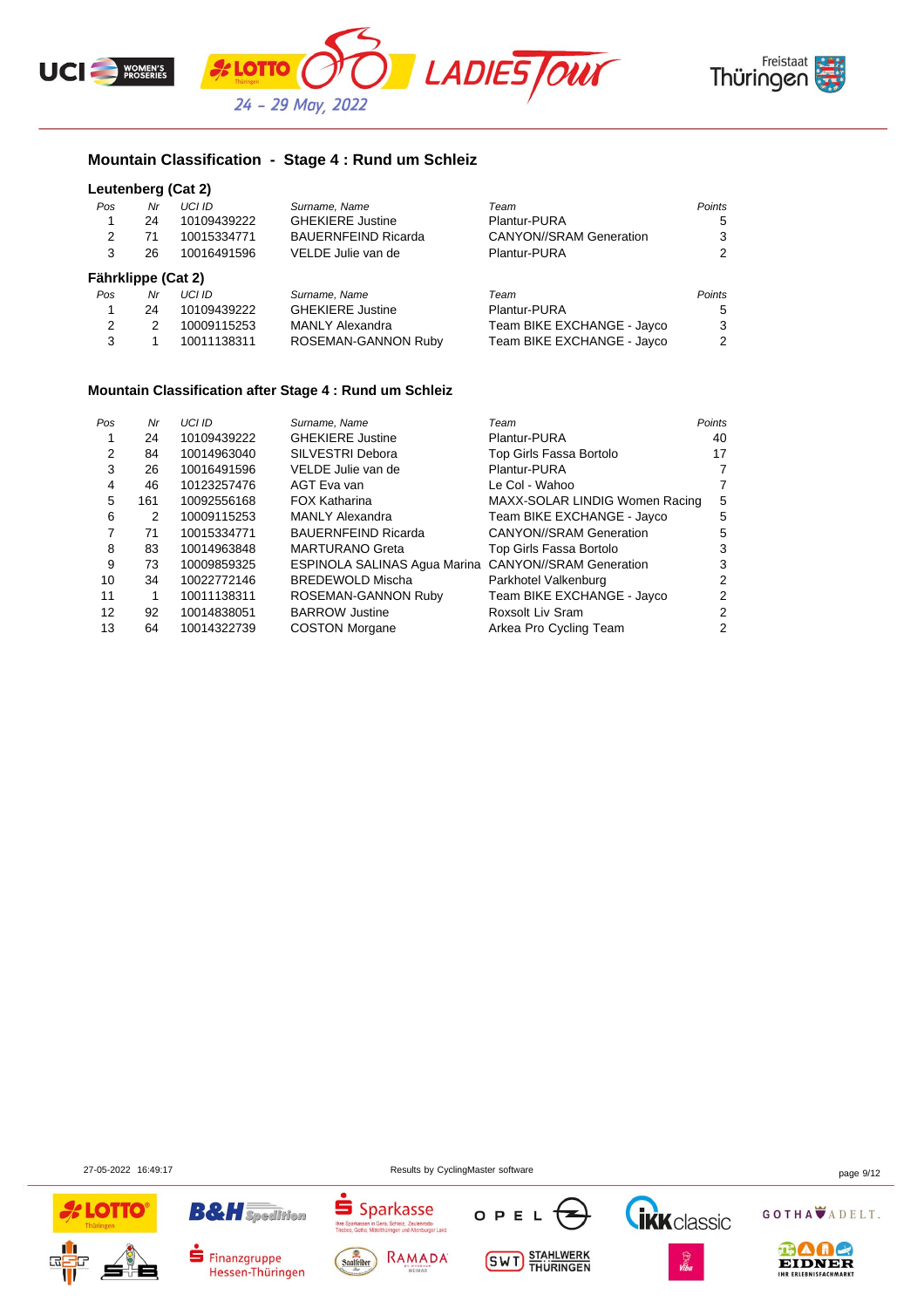



## **Mountain Classification - Stage 4 : Rund um Schleiz**

#### **Leutenberg (Cat 2)**

| Pos | Nr                 | UCI ID        | Surname, Name              | Team                           | Points |
|-----|--------------------|---------------|----------------------------|--------------------------------|--------|
| 1   | 24                 | 10109439222   | <b>GHEKIERE Justine</b>    | Plantur-PURA                   | 5      |
| 2   | 71                 | 10015334771   | <b>BAUERNFEIND Ricarda</b> | <b>CANYON//SRAM Generation</b> | 3      |
| 3   | 26                 | 10016491596   | VELDE Julie van de         | Plantur-PURA                   | 2      |
|     | Fährklippe (Cat 2) |               |                            |                                |        |
| Pos | Nr                 | <b>UCI ID</b> | Surname, Name              | Team                           | Points |
| 1   | 24                 | 10109439222   | <b>GHEKIERE Justine</b>    | Plantur-PURA                   | 5      |
| 2   | 2                  | 10009115253   | <b>MANLY Alexandra</b>     | Team BIKE EXCHANGE - Jayco     | 3      |
| 3   |                    | 10011138311   | ROSEMAN-GANNON Ruby        | Team BIKE EXCHANGE - Jayco     | 2      |

#### **Mountain Classification after Stage 4 : Rund um Schleiz**

| Pos | Nr  | UCI ID      | Surname, Name                                        | Team                           | <b>Points</b> |
|-----|-----|-------------|------------------------------------------------------|--------------------------------|---------------|
|     | 24  | 10109439222 | <b>GHEKIERE Justine</b>                              | Plantur-PURA                   | 40            |
| 2   | 84  | 10014963040 | SILVESTRI Debora                                     | Top Girls Fassa Bortolo        | 17            |
| 3   | 26  | 10016491596 | VELDE Julie van de                                   | Plantur-PURA                   | 7             |
| 4   | 46  | 10123257476 | AGT Eva van                                          | Le Col - Wahoo                 | 7             |
| 5   | 161 | 10092556168 | <b>FOX Katharina</b>                                 | MAXX-SOLAR LINDIG Women Racing | 5             |
| 6   | 2   | 10009115253 | <b>MANLY Alexandra</b>                               | Team BIKE EXCHANGE - Jayco     | 5             |
|     | 71  | 10015334771 | <b>BAUERNFEIND Ricarda</b>                           | <b>CANYON//SRAM Generation</b> | 5             |
| 8   | 83  | 10014963848 | <b>MARTURANO Greta</b>                               | Top Girls Fassa Bortolo        | 3             |
| 9   | 73  | 10009859325 | ESPINOLA SALINAS Agua Marina CANYON//SRAM Generation |                                | 3             |
| 10  | 34  | 10022772146 | <b>BREDEWOLD Mischa</b>                              | Parkhotel Valkenburg           | 2             |
| 11  |     | 10011138311 | ROSEMAN-GANNON Ruby                                  | Team BIKE EXCHANGE - Jayco     | 2             |
| 12  | 92  | 10014838051 | <b>BARROW Justine</b>                                | Roxsolt Liv Sram               | 2             |
| 13  | 64  | 10014322739 | <b>COSTON Morgane</b>                                | Arkea Pro Cycling Team         | 2             |

27-05-2022 16:49:17 Results by CyclingMaster software page 9/12

OPE

**SWT** STAHLWERK



CHINCODOL<br>Bera, Schleiz, Zeulenroda-<br>althüringen und Altenburger Land

RAMADA

Sparkasse

ś

Saalfelder

**B&H** Spedition

Finanzgruppe

Hessen-Thüringen

GOTHA ADELT.

**IKK** classic

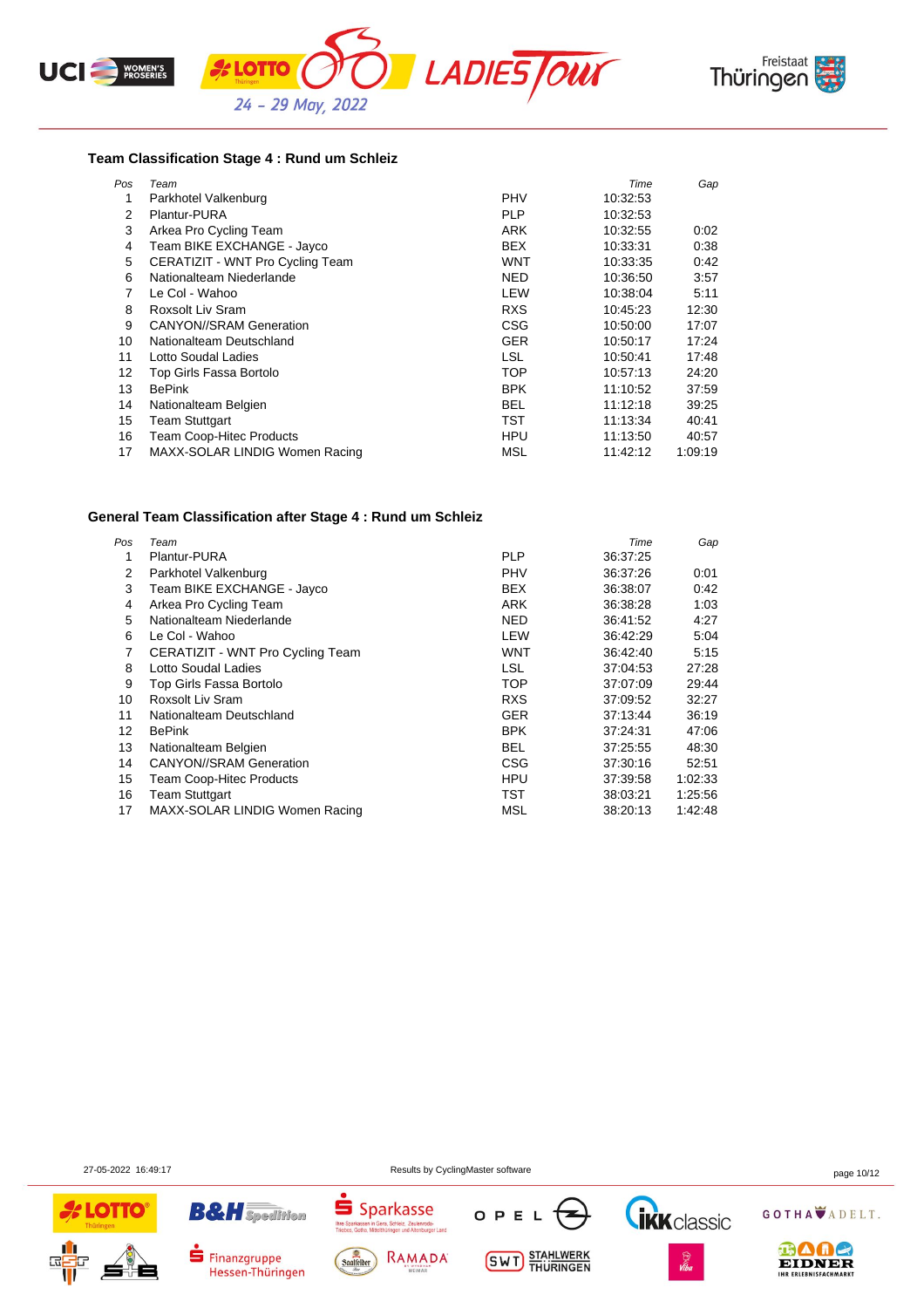





#### **Team Classification Stage 4 : Rund um Schleiz**

| Pos | Team                             |            | Time     | Gap     |
|-----|----------------------------------|------------|----------|---------|
| 1   | Parkhotel Valkenburg             | <b>PHV</b> | 10:32:53 |         |
| 2   | Plantur-PURA                     | <b>PLP</b> | 10:32:53 |         |
| 3   | Arkea Pro Cycling Team           | ARK        | 10:32:55 | 0:02    |
| 4   | Team BIKE EXCHANGE - Jayco       | <b>BEX</b> | 10:33:31 | 0:38    |
| 5   | CERATIZIT - WNT Pro Cycling Team | WNT        | 10:33:35 | 0:42    |
| 6   | Nationalteam Niederlande         | NED        | 10:36:50 | 3:57    |
| 7   | Le Col - Wahoo                   | LEW        | 10:38:04 | 5:11    |
| 8   | <b>Roxsolt Liv Sram</b>          | <b>RXS</b> | 10:45:23 | 12:30   |
| 9   | <b>CANYON//SRAM Generation</b>   | <b>CSG</b> | 10:50:00 | 17:07   |
| 10  | Nationalteam Deutschland         | <b>GER</b> | 10:50:17 | 17:24   |
| 11  | Lotto Soudal Ladies              | <b>LSL</b> | 10:50:41 | 17:48   |
| 12  | Top Girls Fassa Bortolo          | <b>TOP</b> | 10:57:13 | 24:20   |
| 13  | <b>BePink</b>                    | <b>BPK</b> | 11:10:52 | 37:59   |
| 14  | Nationalteam Belgien             | <b>BEL</b> | 11:12:18 | 39.25   |
| 15  | <b>Team Stuttgart</b>            | TST        | 11:13:34 | 40:41   |
| 16  | <b>Team Coop-Hitec Products</b>  | HPU        | 11:13:50 | 40:57   |
| 17  | MAXX-SOLAR LINDIG Women Racing   | MSL        | 11:42:12 | 1:09:19 |

#### **General Team Classification after Stage 4 : Rund um Schleiz**

| Pos               | Team                             |            | Time     | Gap     |
|-------------------|----------------------------------|------------|----------|---------|
|                   | Plantur-PURA                     | <b>PLP</b> | 36:37:25 |         |
| 2                 | Parkhotel Valkenburg             | <b>PHV</b> | 36:37:26 | 0:01    |
| 3                 | Team BIKE EXCHANGE - Jayco       | <b>BEX</b> | 36:38:07 | 0:42    |
| 4                 | Arkea Pro Cycling Team           | ARK        | 36:38:28 | 1:03    |
| 5                 | Nationalteam Niederlande         | <b>NED</b> | 36:41:52 | 4:27    |
| 6                 | Le Col - Wahoo                   | LEW        | 36.42.29 | 5:04    |
| 7                 | CERATIZIT - WNT Pro Cycling Team | WNT        | 36:42:40 | 5:15    |
| 8                 | Lotto Soudal Ladies              | LSL        | 37:04:53 | 27:28   |
| 9                 | Top Girls Fassa Bortolo          | <b>TOP</b> | 37:07:09 | 29:44   |
| 10                | Roxsolt Liv Sram                 | <b>RXS</b> | 37:09:52 | 32:27   |
| 11                | Nationalteam Deutschland         | <b>GER</b> | 37:13:44 | 36:19   |
| $12 \overline{ }$ | <b>BePink</b>                    | <b>BPK</b> | 37:24:31 | 47:06   |
| 13                | Nationalteam Belgien             | <b>BEL</b> | 37:25:55 | 48:30   |
| 14                | <b>CANYON//SRAM Generation</b>   | <b>CSG</b> | 37:30:16 | 52:51   |
| 15                | Team Coop-Hitec Products         | <b>HPU</b> | 37:39:58 | 1:02:33 |
| 16                | <b>Team Stuttgart</b>            | TST        | 38:03:21 | 1.25:56 |
| 17                | MAXX-SOLAR LINDIG Women Racing   | MSL        | 38:20:13 | 1:42:48 |

27-05-2022 16:49:17 Results by CyclingMaster software page 10/12





Hessen-Thüringen





**SWT** STAHLWERK





GOTHA ADELT.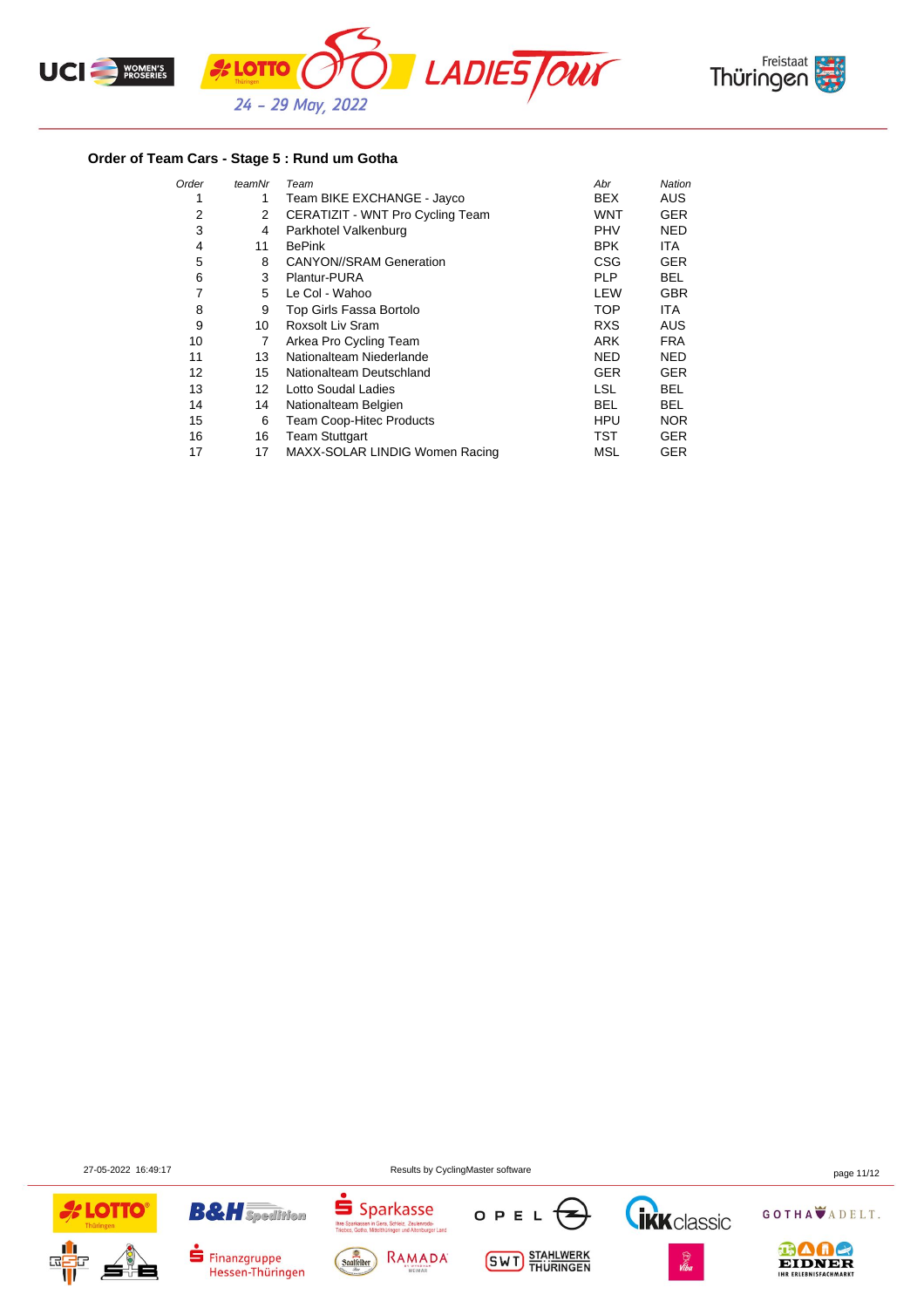



## **Order of Team Cars - Stage 5 : Rund um Gotha**

| Order | teamNr            | Team                             | Abr        | Nation     |
|-------|-------------------|----------------------------------|------------|------------|
| 1     | 1                 | Team BIKE EXCHANGE - Jayco       | <b>BEX</b> | <b>AUS</b> |
| 2     | 2                 | CERATIZIT - WNT Pro Cycling Team | WNT        | <b>GER</b> |
| 3     | 4                 | Parkhotel Valkenburg             | <b>PHV</b> | <b>NED</b> |
| 4     | 11                | <b>BePink</b>                    | <b>BPK</b> | ITA.       |
| 5     | 8                 | <b>CANYON//SRAM Generation</b>   | CSG        | <b>GER</b> |
| 6     | 3                 | Plantur-PURA                     | <b>PLP</b> | BEL.       |
| 7     | 5                 | Le Col - Wahoo                   | LEW        | <b>GBR</b> |
| 8     | 9                 | Top Girls Fassa Bortolo          | <b>TOP</b> | <b>ITA</b> |
| 9     | 10                | Roxsolt Liv Sram                 | <b>RXS</b> | <b>AUS</b> |
| 10    | 7                 | Arkea Pro Cycling Team           | <b>ARK</b> | <b>FRA</b> |
| 11    | 13                | Nationalteam Niederlande         | <b>NED</b> | <b>NED</b> |
| 12    | 15                | Nationalteam Deutschland         | <b>GER</b> | <b>GER</b> |
| 13    | $12 \overline{ }$ | Lotto Soudal Ladies              | <b>LSL</b> | <b>BEL</b> |
| 14    | 14                | Nationalteam Belgien             | BEL        | <b>BEL</b> |
| 15    | 6                 | Team Coop-Hitec Products         | <b>HPU</b> | <b>NOR</b> |
| 16    | 16                | <b>Team Stuttgart</b>            | TST        | <b>GER</b> |
| 17    | 17                | MAXX-SOLAR LINDIG Women Racing   | MSL        | <b>GER</b> |

27-05-2022 16:49:17 Results by CyclingMaster software page 11/12







**Thre Spa**<br>Triphae

Sparkasse



**SWT** STAHLWERK





GOTHA ADELT.